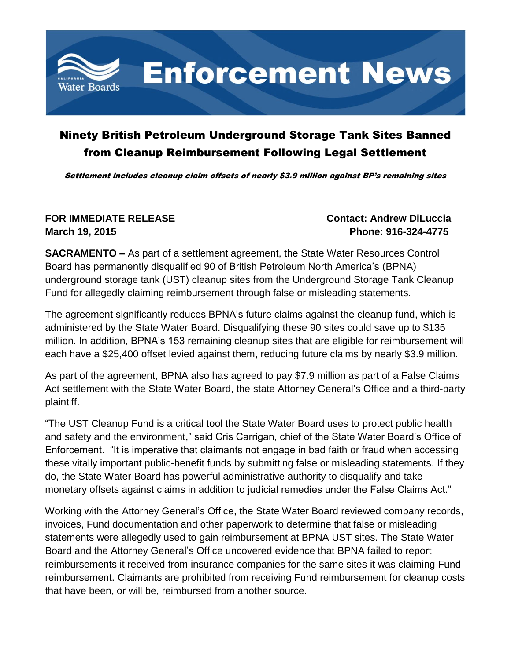

## Ninety British Petroleum Underground Storage Tank Sites Banned from Cleanup Reimbursement Following Legal Settlement

Settlement includes cleanup claim offsets of nearly \$3.9 million against BP's remaining sites

## **FOR IMMEDIATE RELEASE CONTACT: Andrew DiLuccia March 19, 2015 Phone: 916-324-4775**

**SACRAMENTO –** As part of a settlement agreement, the State Water Resources Control Board has permanently disqualified 90 of British Petroleum North America's (BPNA) underground storage tank (UST) cleanup sites from the Underground Storage Tank Cleanup Fund for allegedly claiming reimbursement through false or misleading statements.

The agreement significantly reduces BPNA's future claims against the cleanup fund, which is administered by the State Water Board. Disqualifying these 90 sites could save up to \$135 million. In addition, BPNA's 153 remaining cleanup sites that are eligible for reimbursement will each have a \$25,400 offset levied against them, reducing future claims by nearly \$3.9 million.

As part of the agreement, BPNA also has agreed to pay \$7.9 million as part of a False Claims Act settlement with the State Water Board, the state Attorney General's Office and a third-party plaintiff.

"The UST Cleanup Fund is a critical tool the State Water Board uses to protect public health and safety and the environment," said Cris Carrigan, chief of the State Water Board's Office of Enforcement. "It is imperative that claimants not engage in bad faith or fraud when accessing these vitally important public-benefit funds by submitting false or misleading statements. If they do, the State Water Board has powerful administrative authority to disqualify and take monetary offsets against claims in addition to judicial remedies under the False Claims Act."

Working with the Attorney General's Office, the State Water Board reviewed company records, invoices, Fund documentation and other paperwork to determine that false or misleading statements were allegedly used to gain reimbursement at BPNA UST sites. The State Water Board and the Attorney General's Office uncovered evidence that BPNA failed to report reimbursements it received from insurance companies for the same sites it was claiming Fund reimbursement. Claimants are prohibited from receiving Fund reimbursement for cleanup costs that have been, or will be, reimbursed from another source.